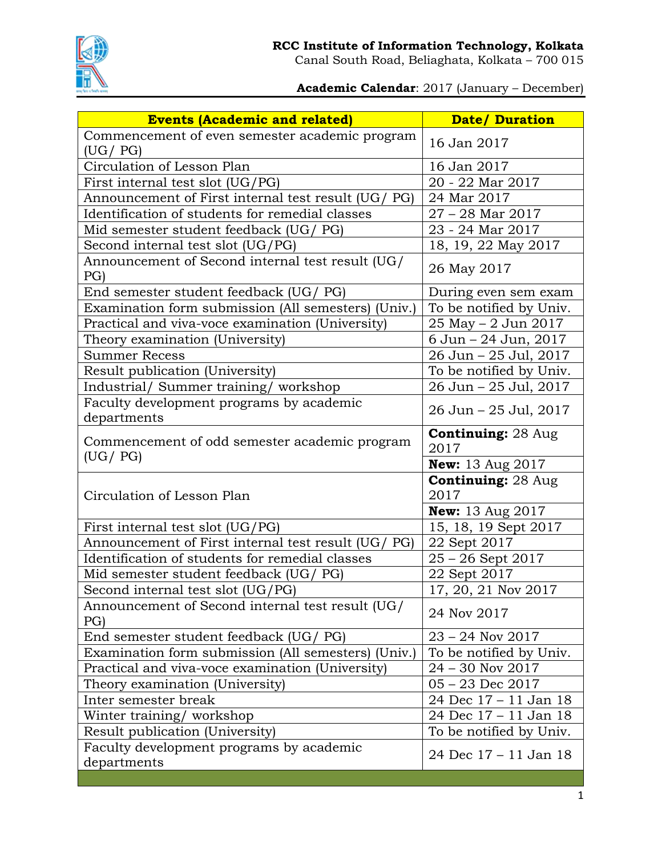

Canal South Road, Beliaghata, Kolkata – 700 015

**Academic Calendar**: 2017 (January – December)

| <b>Events (Academic and related)</b>                        | <b>Date/Duration</b>              |
|-------------------------------------------------------------|-----------------------------------|
| Commencement of even semester academic program<br>(UG / PG) | 16 Jan 2017                       |
| Circulation of Lesson Plan                                  | 16 Jan 2017                       |
| First internal test slot (UG/PG)                            | 20 - 22 Mar 2017                  |
| Announcement of First internal test result (UG/ PG)         | 24 Mar 2017                       |
| Identification of students for remedial classes             | $27 - 28$ Mar $2017$              |
| Mid semester student feedback (UG/ PG)                      | 23 - 24 Mar 2017                  |
| Second internal test slot (UG/PG)                           | 18, 19, 22 May 2017               |
| Announcement of Second internal test result (UG/<br>PG)     | 26 May 2017                       |
| End semester student feedback (UG/ PG)                      | During even sem exam              |
| Examination form submission (All semesters) (Univ.)         | To be notified by Univ.           |
| Practical and viva-voce examination (University)            | 25 May - 2 Jun 2017               |
| Theory examination (University)                             | 6 Jun - 24 Jun, 2017              |
| <b>Summer Recess</b>                                        | 26 Jun - 25 Jul, 2017             |
| Result publication (University)                             | To be notified by Univ.           |
| Industrial/ Summer training/ workshop                       | 26 Jun - 25 Jul, 2017             |
| Faculty development programs by academic<br>departments     | 26 Jun - 25 Jul, 2017             |
| Commencement of odd semester academic program               | <b>Continuing:</b> 28 Aug<br>2017 |
| (UG / PG)                                                   | <b>New:</b> 13 Aug 2017           |
| Circulation of Lesson Plan                                  | <b>Continuing: 28 Aug</b><br>2017 |
|                                                             | <b>New:</b> 13 Aug 2017           |
| First internal test slot (UG/PG)                            | 15, 18, 19 Sept 2017              |
| Announcement of First internal test result (UG/ PG)         | 22 Sept 2017                      |
| Identification of students for remedial classes             | 25 - 26 Sept 2017                 |
| Mid semester student feedback (UG/ PG)                      | 22 Sept 2017                      |
| Second internal test slot (UG/PG)                           | 17, 20, 21 Nov 2017               |
| Announcement of Second internal test result (UG/<br>PG)     | 24 Nov 2017                       |
| End semester student feedback (UG/ PG)                      | $23 - 24$ Nov $2017$              |
| Examination form submission (All semesters) (Univ.)         | To be notified by Univ.           |
| Practical and viva-voce examination (University)            | $24 - 30$ Nov $2017$              |
| Theory examination (University)                             | $05 - 23$ Dec $2017$              |
| Inter semester break                                        | 24 Dec 17 - 11 Jan 18             |
| Winter training/workshop                                    | 24 Dec 17 - 11 Jan 18             |
| Result publication (University)                             | To be notified by Univ.           |
| Faculty development programs by academic<br>departments     | 24 Dec 17 – 11 Jan 18             |